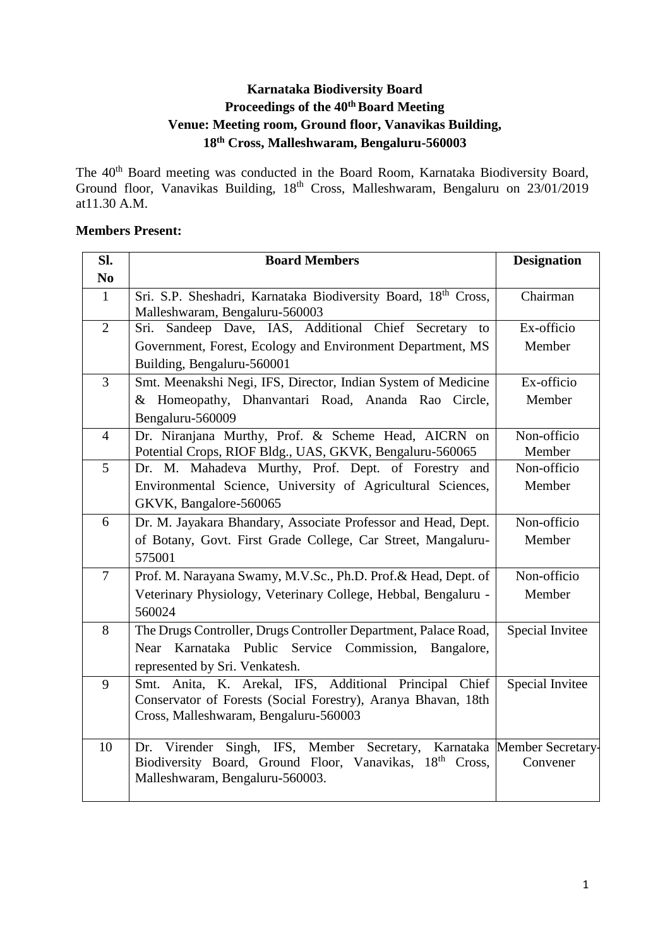# **Karnataka Biodiversity Board Proceedings of the 40thBoard Meeting Venue: Meeting room, Ground floor, Vanavikas Building, 18th Cross, Malleshwaram, Bengaluru-560003**

The 40<sup>th</sup> Board meeting was conducted in the Board Room, Karnataka Biodiversity Board, Ground floor, Vanavikas Building, 18<sup>th</sup> Cross, Malleshwaram, Bengaluru on 23/01/2019 at11.30 A.M.

#### **Members Present:**

| SI.            | <b>Board Members</b>                                                                             | <b>Designation</b> |
|----------------|--------------------------------------------------------------------------------------------------|--------------------|
| N <sub>0</sub> |                                                                                                  |                    |
| $\mathbf{1}$   | Sri. S.P. Sheshadri, Karnataka Biodiversity Board, 18th Cross,<br>Malleshwaram, Bengaluru-560003 | Chairman           |
| $\overline{2}$ | Sri. Sandeep Dave, IAS, Additional Chief Secretary to                                            | Ex-officio         |
|                | Government, Forest, Ecology and Environment Department, MS                                       | Member             |
|                | Building, Bengaluru-560001                                                                       |                    |
| $\overline{3}$ | Smt. Meenakshi Negi, IFS, Director, Indian System of Medicine                                    | Ex-officio         |
|                | & Homeopathy, Dhanvantari Road, Ananda Rao Circle,                                               | Member             |
|                | Bengaluru-560009                                                                                 |                    |
| $\overline{4}$ | Dr. Niranjana Murthy, Prof. & Scheme Head, AICRN on                                              | Non-officio        |
| $\overline{5}$ | Potential Crops, RIOF Bldg., UAS, GKVK, Bengaluru-560065                                         | Member             |
|                | Dr. M. Mahadeva Murthy, Prof. Dept. of Forestry and                                              | Non-officio        |
|                | Environmental Science, University of Agricultural Sciences,                                      | Member             |
|                | GKVK, Bangalore-560065                                                                           |                    |
| 6              | Dr. M. Jayakara Bhandary, Associate Professor and Head, Dept.                                    | Non-officio        |
|                | of Botany, Govt. First Grade College, Car Street, Mangaluru-                                     | Member             |
| $\overline{7}$ | 575001                                                                                           | Non-officio        |
|                | Prof. M. Narayana Swamy, M.V.Sc., Ph.D. Prof. & Head, Dept. of                                   |                    |
|                | Veterinary Physiology, Veterinary College, Hebbal, Bengaluru -<br>560024                         | Member             |
| 8              | The Drugs Controller, Drugs Controller Department, Palace Road,                                  | Special Invitee    |
|                | Karnataka Public Service Commission,<br>Near<br>Bangalore,                                       |                    |
|                | represented by Sri. Venkatesh.                                                                   |                    |
| 9              | Anita, K. Arekal, IFS, Additional Principal Chief<br>Smt.                                        | Special Invitee    |
|                | Conservator of Forests (Social Forestry), Aranya Bhavan, 18th                                    |                    |
|                | Cross, Malleshwaram, Bengaluru-560003                                                            |                    |
|                |                                                                                                  |                    |
| 10             | Dr. Virender Singh, IFS, Member Secretary, Karnataka Member Secretary-                           |                    |
|                | Biodiversity Board, Ground Floor, Vanavikas, 18th Cross,                                         | Convener           |
|                | Malleshwaram, Bengaluru-560003.                                                                  |                    |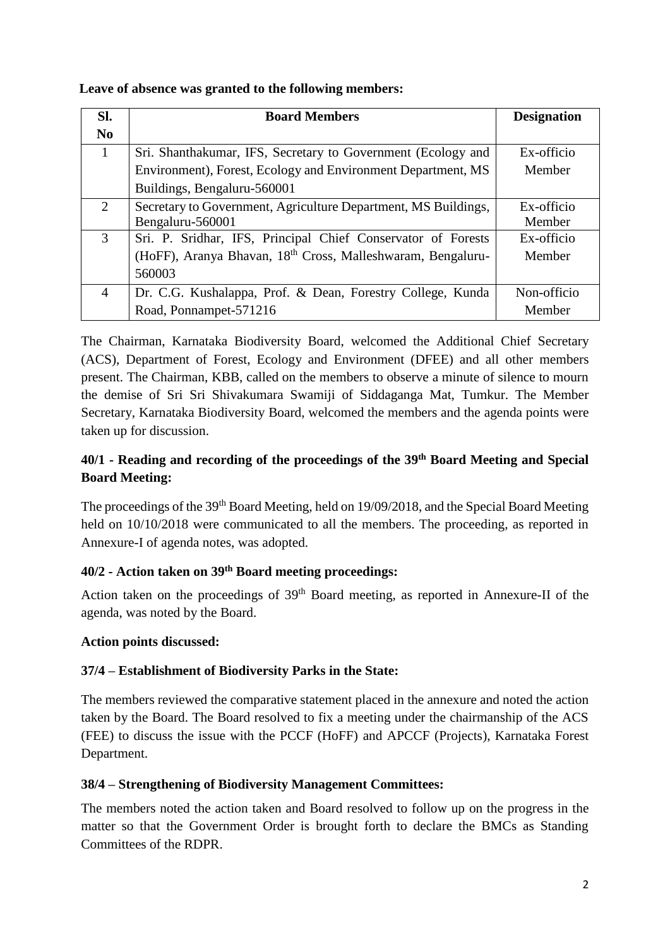#### **Leave of absence was granted to the following members:**

| SI.            | <b>Board Members</b>                                                    | <b>Designation</b> |
|----------------|-------------------------------------------------------------------------|--------------------|
| N <sub>0</sub> |                                                                         |                    |
| 1              | Sri. Shanthakumar, IFS, Secretary to Government (Ecology and            | Ex-officio         |
|                | Environment), Forest, Ecology and Environment Department, MS            | Member             |
|                | Buildings, Bengaluru-560001                                             |                    |
| $\overline{2}$ | Secretary to Government, Agriculture Department, MS Buildings,          | Ex-officio         |
|                | Bengaluru-560001                                                        | Member             |
| 3              | Sri. P. Sridhar, IFS, Principal Chief Conservator of Forests            | Ex-officio         |
|                | (HoFF), Aranya Bhavan, 18 <sup>th</sup> Cross, Malleshwaram, Bengaluru- | Member             |
|                | 560003                                                                  |                    |
| 4              | Dr. C.G. Kushalappa, Prof. & Dean, Forestry College, Kunda              | Non-officio        |
|                | Road, Ponnampet-571216                                                  | Member             |

The Chairman, Karnataka Biodiversity Board, welcomed the Additional Chief Secretary (ACS), Department of Forest, Ecology and Environment (DFEE) and all other members present. The Chairman, KBB, called on the members to observe a minute of silence to mourn the demise of Sri Sri Shivakumara Swamiji of Siddaganga Mat, Tumkur. The Member Secretary, Karnataka Biodiversity Board, welcomed the members and the agenda points were taken up for discussion.

# **40/1 - Reading and recording of the proceedings of the 39 th Board Meeting and Special Board Meeting:**

The proceedings of the 39<sup>th</sup> Board Meeting, held on 19/09/2018, and the Special Board Meeting held on  $10/10/2018$  were communicated to all the members. The proceeding, as reported in Annexure-I of agenda notes, was adopted.

## **40/2 - Action taken on 39 th Board meeting proceedings:**

Action taken on the proceedings of 39<sup>th</sup> Board meeting, as reported in Annexure-II of the agenda, was noted by the Board.

## **Action points discussed:**

## **37/4 – Establishment of Biodiversity Parks in the State:**

The members reviewed the comparative statement placed in the annexure and noted the action taken by the Board. The Board resolved to fix a meeting under the chairmanship of the ACS (FEE) to discuss the issue with the PCCF (HoFF) and APCCF (Projects), Karnataka Forest Department.

#### **38/4 – Strengthening of Biodiversity Management Committees:**

The members noted the action taken and Board resolved to follow up on the progress in the matter so that the Government Order is brought forth to declare the BMCs as Standing Committees of the RDPR.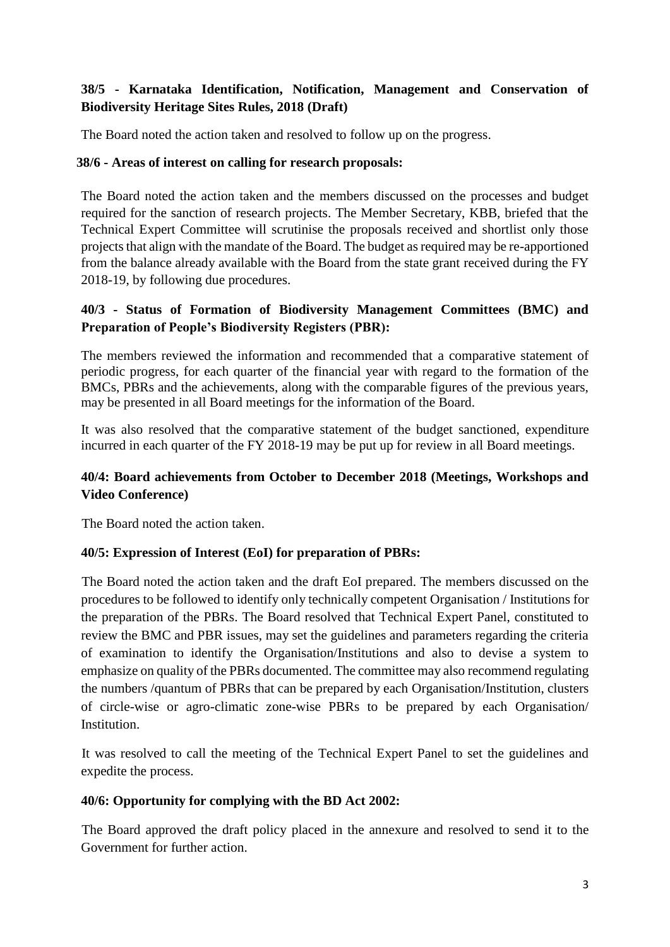## **38/5 - Karnataka Identification, Notification, Management and Conservation of Biodiversity Heritage Sites Rules, 2018 (Draft)**

The Board noted the action taken and resolved to follow up on the progress.

#### **38/6 - Areas of interest on calling for research proposals:**

The Board noted the action taken and the members discussed on the processes and budget required for the sanction of research projects. The Member Secretary, KBB, briefed that the Technical Expert Committee will scrutinise the proposals received and shortlist only those projects that align with the mandate of the Board. The budget as required may be re-apportioned from the balance already available with the Board from the state grant received during the FY 2018-19, by following due procedures.

### **40/3 - Status of Formation of Biodiversity Management Committees (BMC) and Preparation of People's Biodiversity Registers (PBR):**

The members reviewed the information and recommended that a comparative statement of periodic progress, for each quarter of the financial year with regard to the formation of the BMCs, PBRs and the achievements, along with the comparable figures of the previous years, may be presented in all Board meetings for the information of the Board.

It was also resolved that the comparative statement of the budget sanctioned, expenditure incurred in each quarter of the FY 2018-19 may be put up for review in all Board meetings.

## **40/4: Board achievements from October to December 2018 (Meetings, Workshops and Video Conference)**

The Board noted the action taken.

#### **40/5: Expression of Interest (EoI) for preparation of PBRs:**

The Board noted the action taken and the draft EoI prepared. The members discussed on the procedures to be followed to identify only technically competent Organisation / Institutions for the preparation of the PBRs. The Board resolved that Technical Expert Panel, constituted to review the BMC and PBR issues, may set the guidelines and parameters regarding the criteria of examination to identify the Organisation/Institutions and also to devise a system to emphasize on quality of the PBRs documented. The committee may also recommend regulating the numbers /quantum of PBRs that can be prepared by each Organisation/Institution, clusters of circle-wise or agro-climatic zone-wise PBRs to be prepared by each Organisation/ **Institution** 

It was resolved to call the meeting of the Technical Expert Panel to set the guidelines and expedite the process.

#### **40/6: Opportunity for complying with the BD Act 2002:**

The Board approved the draft policy placed in the annexure and resolved to send it to the Government for further action.